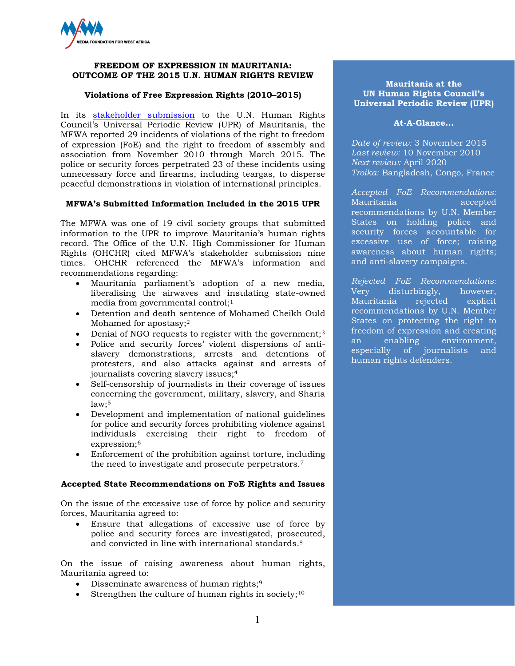

### **FREEDOM OF EXPRESSION IN MAURITANIA: OUTCOME OF THE 2015 U.N. HUMAN RIGHTS REVIEW**

# **Violations of Free Expression Rights (2010–2015)**

In its [stakeholder submission](http://www.mfwa.org/media/documents/document1441976596_0.pdf) to the U.N. Human Rights Council's Universal Periodic Review (UPR) of Mauritania, the MFWA reported 29 incidents of violations of the right to freedom of expression (FoE) and the right to freedom of assembly and association from November 2010 through March 2015. The police or security forces perpetrated 23 of these incidents using unnecessary force and firearms, including teargas, to disperse peaceful demonstrations in violation of international principles.

## **MFWA's Submitted Information Included in the 2015 UPR**

The MFWA was one of 19 civil society groups that submitted information to the UPR to improve Mauritania's human rights record. The Office of the U.N. High Commissioner for Human Rights (OHCHR) cited MFWA's stakeholder submission nine times. OHCHR referenced the MFWA's information and recommendations regarding:

- Mauritania parliament's adoption of a new media, liberalising the airwaves and insulating state-owned media from governmental control;<sup>1</sup>
- Detention and death sentence of Mohamed Cheikh Ould Mohamed for apostasy;<sup>2</sup>
- Denial of NGO requests to register with the government;<sup>3</sup>
- Police and security forces' violent dispersions of antislavery demonstrations, arrests and detentions of protesters, and also attacks against and arrests of journalists covering slavery issues;<sup>4</sup>
- Self-censorship of journalists in their coverage of issues concerning the government, military, slavery, and Sharia  $law:5$
- Development and implementation of national guidelines for police and security forces prohibiting violence against individuals exercising their right to freedom of expression;<sup>6</sup>
- Enforcement of the prohibition against torture, including the need to investigate and prosecute perpetrators.<sup>7</sup>

## **Accepted State Recommendations on FoE Rights and Issues**

On the issue of the excessive use of force by police and security forces, Mauritania agreed to:

 Ensure that allegations of excessive use of force by police and security forces are investigated, prosecuted, and convicted in line with international standards. 8

On the issue of raising awareness about human rights, Mauritania agreed to:

- Disseminate awareness of human rights;<sup>9</sup>
- Strengthen the culture of human rights in society;<sup>10</sup>

# **Mauritania at the UN Human Rights Council's Universal Periodic Review (UPR)**

### **At-A-Glance…**

*Date of review:* 3 November 2015 *Last review:* 10 November 2010 *Next review:* April 2020 *Troika:* Bangladesh, Congo, France

*Accepted FoE Recommendations:*  Mauritania accepted recommendations by U.N. Member States on holding police and security forces accountable for excessive use of force; raising awareness about human rights; and anti-slavery campaigns.

*Rejected FoE Recommendations:* Very disturbingly, however, Mauritania rejected explicit recommendations by U.N. Member States on protecting the right to freedom of expression and creating<br>an enabling environment, an enabling environment, especially of journalists and human rights defenders.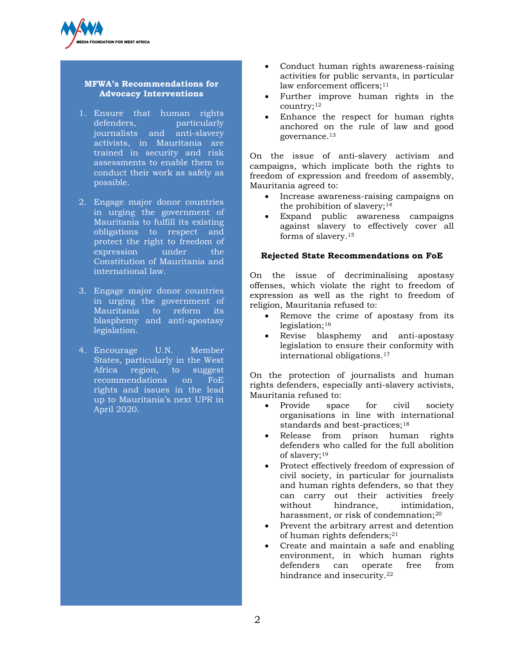

# **MFWA's Recommendations for Advocacy Interventions**

- 1. Ensure that human rights defenders, particularly journalists and anti-slavery activists, in Mauritania are trained in security and risk assessments to enable them to conduct their work as safely as possible.
- 2. Engage major donor countries in urging the government of Mauritania to fulfill its existing obligations to respect and protect the right to freedom of expression under the Constitution of Mauritania and international law.
- 3. Engage major donor countries in urging the government of Mauritania to reform its blasphemy and anti-apostasy legislation.
- 4. Encourage U.N. Member States, particularly in the West Africa region, to suggest recommendations on FoE rights and issues in the lead up to Mauritania's next UPR in April 2020.
- Conduct human rights awareness-raising activities for public servants, in particular law enforcement officers;<sup>11</sup>
- Further improve human rights in the country;<sup>12</sup>
- Enhance the respect for human rights anchored on the rule of law and good governance.<sup>13</sup>

On the issue of anti-slavery activism and campaigns, which implicate both the rights to freedom of expression and freedom of assembly, Mauritania agreed to:

- Increase awareness-raising campaigns on the prohibition of slavery; $14$
- Expand public awareness campaigns against slavery to effectively cover all forms of slavery.<sup>15</sup>

## **Rejected State Recommendations on FoE**

On the issue of decriminalising apostasy offenses, which violate the right to freedom of expression as well as the right to freedom of religion, Mauritania refused to:

- Remove the crime of apostasy from its legislation; $16$
- Revise blasphemy and anti-apostasy legislation to ensure their conformity with international obligations.<sup>17</sup>

On the protection of journalists and human rights defenders, especially anti-slavery activists, Mauritania refused to:

- Provide space for civil society organisations in line with international standards and best-practices;<sup>18</sup>
- Release from prison human rights defenders who called for the full abolition of slavery;<sup>19</sup>
- Protect effectively freedom of expression of civil society, in particular for journalists and human rights defenders, so that they can carry out their activities freely without hindrance, intimidation, harassment, or risk of condemnation:<sup>20</sup>
- Prevent the arbitrary arrest and detention of human rights defenders; $21$
- Create and maintain a safe and enabling environment, in which human rights defenders can operate free from hindrance and insecurity.<sup>22</sup>